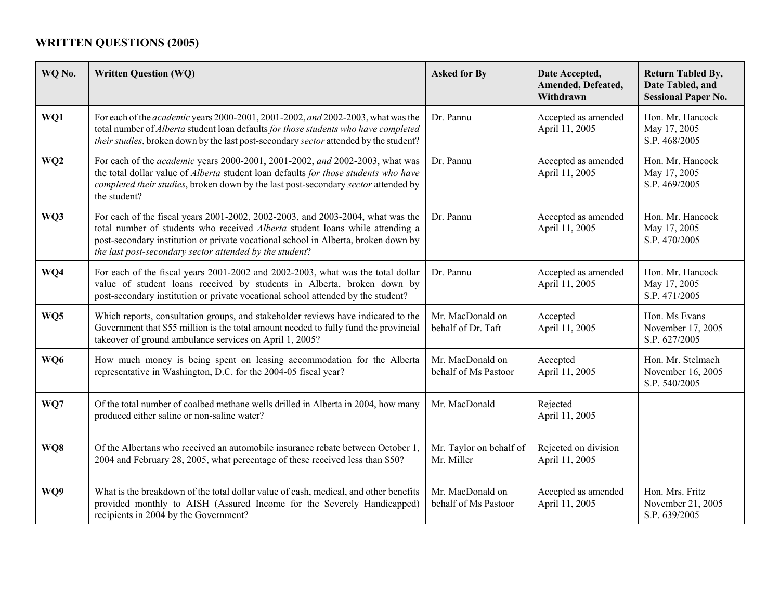## **WRITTEN QUESTIONS (2005)**

| WQ No.          | <b>Written Question (WQ)</b>                                                                                                                                                                                                                                                                                     | <b>Asked for By</b>                      | Date Accepted,<br>Amended, Defeated,<br>Withdrawn | <b>Return Tabled By,</b><br>Date Tabled, and<br><b>Sessional Paper No.</b> |
|-----------------|------------------------------------------------------------------------------------------------------------------------------------------------------------------------------------------------------------------------------------------------------------------------------------------------------------------|------------------------------------------|---------------------------------------------------|----------------------------------------------------------------------------|
| WQ1             | For each of the <i>academic</i> years 2000-2001, 2001-2002, and 2002-2003, what was the<br>total number of Alberta student loan defaults for those students who have completed<br>their studies, broken down by the last post-secondary sector attended by the student?                                          | Dr. Pannu                                | Accepted as amended<br>April 11, 2005             | Hon. Mr. Hancock<br>May 17, 2005<br>S.P. 468/2005                          |
| WQ <sub>2</sub> | For each of the <i>academic</i> years 2000-2001, 2001-2002, and 2002-2003, what was<br>the total dollar value of Alberta student loan defaults for those students who have<br>completed their studies, broken down by the last post-secondary sector attended by<br>the student?                                 | Dr. Pannu                                | Accepted as amended<br>April 11, 2005             | Hon. Mr. Hancock<br>May 17, 2005<br>S.P. 469/2005                          |
| WQ3             | For each of the fiscal years 2001-2002, 2002-2003, and 2003-2004, what was the<br>total number of students who received Alberta student loans while attending a<br>post-secondary institution or private vocational school in Alberta, broken down by<br>the last post-secondary sector attended by the student? | Dr. Pannu                                | Accepted as amended<br>April 11, 2005             | Hon. Mr. Hancock<br>May 17, 2005<br>S.P. 470/2005                          |
| WQ4             | For each of the fiscal years 2001-2002 and 2002-2003, what was the total dollar<br>value of student loans received by students in Alberta, broken down by<br>post-secondary institution or private vocational school attended by the student?                                                                    | Dr. Pannu                                | Accepted as amended<br>April 11, 2005             | Hon. Mr. Hancock<br>May 17, 2005<br>S.P. 471/2005                          |
| WQ5             | Which reports, consultation groups, and stakeholder reviews have indicated to the<br>Government that \$55 million is the total amount needed to fully fund the provincial<br>takeover of ground ambulance services on April 1, 2005?                                                                             | Mr. MacDonald on<br>behalf of Dr. Taft   | Accepted<br>April 11, 2005                        | Hon. Ms Evans<br>November 17, 2005<br>S.P. 627/2005                        |
| WQ6             | How much money is being spent on leasing accommodation for the Alberta<br>representative in Washington, D.C. for the 2004-05 fiscal year?                                                                                                                                                                        | Mr. MacDonald on<br>behalf of Ms Pastoor | Accepted<br>April 11, 2005                        | Hon. Mr. Stelmach<br>November 16, 2005<br>S.P. 540/2005                    |
| WQ7             | Of the total number of coalbed methane wells drilled in Alberta in 2004, how many<br>produced either saline or non-saline water?                                                                                                                                                                                 | Mr. MacDonald                            | Rejected<br>April 11, 2005                        |                                                                            |
| WQ8             | Of the Albertans who received an automobile insurance rebate between October 1,<br>2004 and February 28, 2005, what percentage of these received less than \$50?                                                                                                                                                 | Mr. Taylor on behalf of<br>Mr. Miller    | Rejected on division<br>April 11, 2005            |                                                                            |
| WQ9             | What is the breakdown of the total dollar value of cash, medical, and other benefits<br>provided monthly to AISH (Assured Income for the Severely Handicapped)<br>recipients in 2004 by the Government?                                                                                                          | Mr. MacDonald on<br>behalf of Ms Pastoor | Accepted as amended<br>April 11, 2005             | Hon. Mrs. Fritz<br>November 21, 2005<br>S.P. 639/2005                      |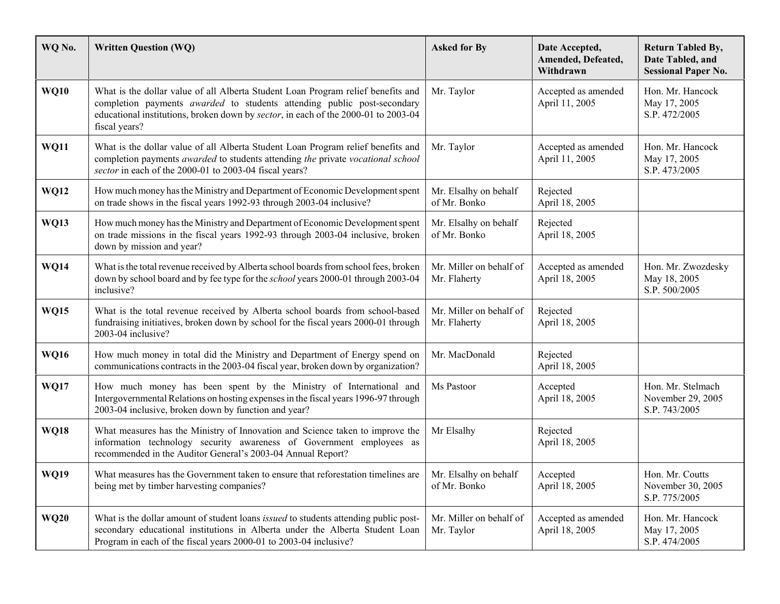| WQ No.      | <b>Written Question (WQ)</b>                                                                                                                                                                                                                                              | <b>Asked for By</b>                     | Date Accepted,<br>Amended, Defeated,<br>Withdrawn | <b>Return Tabled By,</b><br>Date Tabled, and<br><b>Sessional Paper No.</b> |
|-------------|---------------------------------------------------------------------------------------------------------------------------------------------------------------------------------------------------------------------------------------------------------------------------|-----------------------------------------|---------------------------------------------------|----------------------------------------------------------------------------|
| <b>WQ10</b> | What is the dollar value of all Alberta Student Loan Program relief benefits and<br>completion payments <i>awarded</i> to students attending public post-secondary<br>educational institutions, broken down by sector, in each of the 2000-01 to 2003-04<br>fiscal years? | Mr. Taylor                              | Accepted as amended<br>April 11, 2005             | Hon. Mr. Hancock<br>May 17, 2005<br>S.P. 472/2005                          |
| <b>WQ11</b> | What is the dollar value of all Alberta Student Loan Program relief benefits and<br>completion payments awarded to students attending the private vocational school<br>sector in each of the 2000-01 to 2003-04 fiscal years?                                             | Mr. Taylor                              | Accepted as amended<br>April 11, 2005             | Hon. Mr. Hancock<br>May 17, 2005<br>S.P. 473/2005                          |
| <b>WQ12</b> | How much money has the Ministry and Department of Economic Development spent<br>on trade shows in the fiscal years 1992-93 through 2003-04 inclusive?                                                                                                                     | Mr. Elsalhy on behalf<br>of Mr. Bonko   | Rejected<br>April 18, 2005                        |                                                                            |
| <b>WQ13</b> | How much money has the Ministry and Department of Economic Development spent<br>on trade missions in the fiscal years 1992-93 through 2003-04 inclusive, broken<br>down by mission and year?                                                                              | Mr. Elsalhy on behalf<br>of Mr. Bonko   | Rejected<br>April 18, 2005                        |                                                                            |
| <b>WQ14</b> | What is the total revenue received by Alberta school boards from school fees, broken<br>down by school board and by fee type for the <i>school</i> years 2000-01 through 2003-04<br>inclusive?                                                                            | Mr. Miller on behalf of<br>Mr. Flaherty | Accepted as amended<br>April 18, 2005             | Hon. Mr. Zwozdesky<br>May 18, 2005<br>S.P. 500/2005                        |
| <b>WQ15</b> | What is the total revenue received by Alberta school boards from school-based<br>fundraising initiatives, broken down by school for the fiscal years 2000-01 through<br>2003-04 inclusive?                                                                                | Mr. Miller on behalf of<br>Mr. Flaherty | Rejected<br>April 18, 2005                        |                                                                            |
| <b>WQ16</b> | How much money in total did the Ministry and Department of Energy spend on<br>communications contracts in the 2003-04 fiscal year, broken down by organization?                                                                                                           | Mr. MacDonald                           | Rejected<br>April 18, 2005                        |                                                                            |
| <b>WQ17</b> | How much money has been spent by the Ministry of International and<br>Intergovernmental Relations on hosting expenses in the fiscal years 1996-97 through<br>2003-04 inclusive, broken down by function and year?                                                         | Ms Pastoor                              | Accepted<br>April 18, 2005                        | Hon. Mr. Stelmach<br>November 29, 2005<br>S.P. 743/2005                    |
| <b>WQ18</b> | What measures has the Ministry of Innovation and Science taken to improve the<br>information technology security awareness of Government employees as<br>recommended in the Auditor General's 2003-04 Annual Report?                                                      | Mr Elsalhy                              | Rejected<br>April 18, 2005                        |                                                                            |
| <b>WQ19</b> | What measures has the Government taken to ensure that reforestation timelines are<br>being met by timber harvesting companies?                                                                                                                                            | Mr. Elsalhy on behalf<br>of Mr. Bonko   | Accepted<br>April 18, 2005                        | Hon. Mr. Coutts<br>November 30, 2005<br>S.P. 775/2005                      |
| <b>WQ20</b> | What is the dollar amount of student loans <i>issued</i> to students attending public post-<br>secondary educational institutions in Alberta under the Alberta Student Loan<br>Program in each of the fiscal years 2000-01 to 2003-04 inclusive?                          | Mr. Miller on behalf of<br>Mr. Taylor   | Accepted as amended<br>April 18, 2005             | Hon. Mr. Hancock<br>May 17, 2005<br>S.P. 474/2005                          |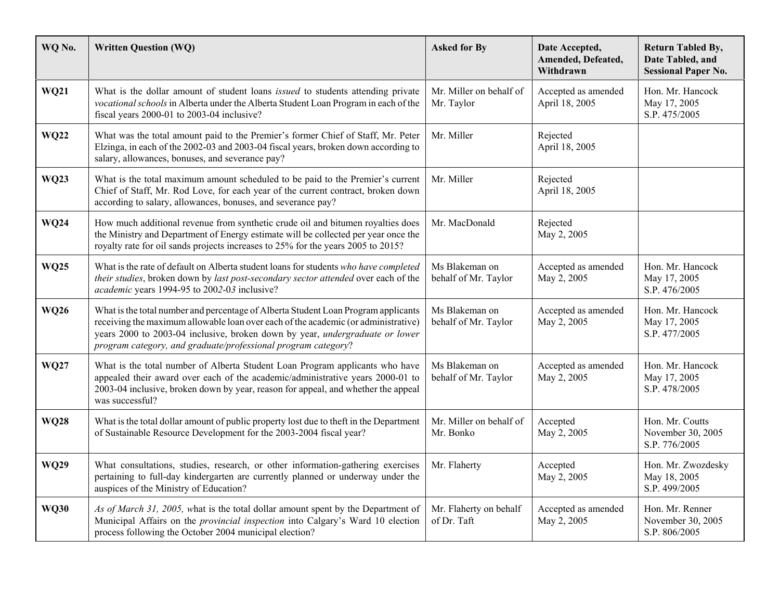| WQ No.      | <b>Written Question (WQ)</b>                                                                                                                                                                                                                                                                                              | <b>Asked for By</b>                    | Date Accepted,<br>Amended, Defeated,<br>Withdrawn | <b>Return Tabled By,</b><br>Date Tabled, and<br><b>Sessional Paper No.</b> |
|-------------|---------------------------------------------------------------------------------------------------------------------------------------------------------------------------------------------------------------------------------------------------------------------------------------------------------------------------|----------------------------------------|---------------------------------------------------|----------------------------------------------------------------------------|
| <b>WQ21</b> | What is the dollar amount of student loans <i>issued</i> to students attending private<br>vocational schools in Alberta under the Alberta Student Loan Program in each of the<br>fiscal years 2000-01 to 2003-04 inclusive?                                                                                               | Mr. Miller on behalf of<br>Mr. Taylor  | Accepted as amended<br>April 18, 2005             | Hon. Mr. Hancock<br>May 17, 2005<br>S.P. 475/2005                          |
| <b>WQ22</b> | What was the total amount paid to the Premier's former Chief of Staff, Mr. Peter<br>Elzinga, in each of the 2002-03 and 2003-04 fiscal years, broken down according to<br>salary, allowances, bonuses, and severance pay?                                                                                                 | Mr. Miller                             | Rejected<br>April 18, 2005                        |                                                                            |
| <b>WQ23</b> | What is the total maximum amount scheduled to be paid to the Premier's current<br>Chief of Staff, Mr. Rod Love, for each year of the current contract, broken down<br>according to salary, allowances, bonuses, and severance pay?                                                                                        | Mr. Miller                             | Rejected<br>April 18, 2005                        |                                                                            |
| <b>WQ24</b> | How much additional revenue from synthetic crude oil and bitumen royalties does<br>the Ministry and Department of Energy estimate will be collected per year once the<br>royalty rate for oil sands projects increases to 25% for the years 2005 to 2015?                                                                 | Mr. MacDonald                          | Rejected<br>May 2, 2005                           |                                                                            |
| <b>WQ25</b> | What is the rate of default on Alberta student loans for students who have completed<br>their studies, broken down by last post-secondary sector attended over each of the<br>academic years 1994-95 to 2002-03 inclusive?                                                                                                | Ms Blakeman on<br>behalf of Mr. Taylor | Accepted as amended<br>May 2, 2005                | Hon. Mr. Hancock<br>May 17, 2005<br>S.P. 476/2005                          |
| <b>WQ26</b> | What is the total number and percentage of Alberta Student Loan Program applicants<br>receiving the maximum allowable loan over each of the academic (or administrative)<br>years 2000 to 2003-04 inclusive, broken down by year, undergraduate or lower<br>program category, and graduate/professional program category? | Ms Blakeman on<br>behalf of Mr. Taylor | Accepted as amended<br>May 2, 2005                | Hon. Mr. Hancock<br>May 17, 2005<br>S.P. 477/2005                          |
| <b>WQ27</b> | What is the total number of Alberta Student Loan Program applicants who have<br>appealed their award over each of the academic/administrative years 2000-01 to<br>2003-04 inclusive, broken down by year, reason for appeal, and whether the appeal<br>was successful?                                                    | Ms Blakeman on<br>behalf of Mr. Taylor | Accepted as amended<br>May 2, 2005                | Hon. Mr. Hancock<br>May 17, 2005<br>S.P. 478/2005                          |
| <b>WQ28</b> | What is the total dollar amount of public property lost due to theft in the Department<br>of Sustainable Resource Development for the 2003-2004 fiscal year?                                                                                                                                                              | Mr. Miller on behalf of<br>Mr. Bonko   | Accepted<br>May 2, 2005                           | Hon. Mr. Coutts<br>November 30, 2005<br>S.P. 776/2005                      |
| <b>WQ29</b> | What consultations, studies, research, or other information-gathering exercises<br>pertaining to full-day kindergarten are currently planned or underway under the<br>auspices of the Ministry of Education?                                                                                                              | Mr. Flaherty                           | Accepted<br>May 2, 2005                           | Hon. Mr. Zwozdesky<br>May 18, 2005<br>S.P. 499/2005                        |
| <b>WQ30</b> | As of March 31, 2005, what is the total dollar amount spent by the Department of<br>Municipal Affairs on the <i>provincial inspection</i> into Calgary's Ward 10 election<br>process following the October 2004 municipal election?                                                                                       | Mr. Flaherty on behalf<br>of Dr. Taft  | Accepted as amended<br>May 2, 2005                | Hon. Mr. Renner<br>November 30, 2005<br>S.P. 806/2005                      |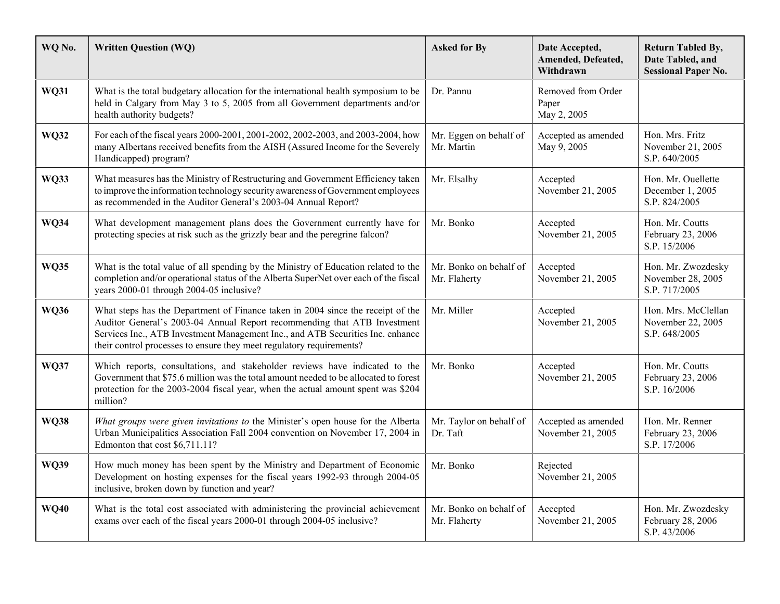| WQ No.      | <b>Written Question (WQ)</b>                                                                                                                                                                                                                                                                                          | <b>Asked for By</b>                    | Date Accepted,<br>Amended, Defeated,<br>Withdrawn | <b>Return Tabled By,</b><br>Date Tabled, and<br><b>Sessional Paper No.</b> |
|-------------|-----------------------------------------------------------------------------------------------------------------------------------------------------------------------------------------------------------------------------------------------------------------------------------------------------------------------|----------------------------------------|---------------------------------------------------|----------------------------------------------------------------------------|
| <b>WQ31</b> | What is the total budgetary allocation for the international health symposium to be<br>held in Calgary from May 3 to 5, 2005 from all Government departments and/or<br>health authority budgets?                                                                                                                      | Dr. Pannu                              | Removed from Order<br>Paper<br>May 2, 2005        |                                                                            |
| <b>WQ32</b> | For each of the fiscal years 2000-2001, 2001-2002, 2002-2003, and 2003-2004, how<br>many Albertans received benefits from the AISH (Assured Income for the Severely<br>Handicapped) program?                                                                                                                          | Mr. Eggen on behalf of<br>Mr. Martin   | Accepted as amended<br>May 9, 2005                | Hon. Mrs. Fritz<br>November 21, 2005<br>S.P. 640/2005                      |
| <b>WQ33</b> | What measures has the Ministry of Restructuring and Government Efficiency taken<br>to improve the information technology security awareness of Government employees<br>as recommended in the Auditor General's 2003-04 Annual Report?                                                                                 | Mr. Elsalhy                            | Accepted<br>November 21, 2005                     | Hon. Mr. Ouellette<br>December 1, 2005<br>S.P. 824/2005                    |
| <b>WQ34</b> | What development management plans does the Government currently have for<br>protecting species at risk such as the grizzly bear and the peregrine falcon?                                                                                                                                                             | Mr. Bonko                              | Accepted<br>November 21, 2005                     | Hon. Mr. Coutts<br>February 23, 2006<br>S.P. 15/2006                       |
| <b>WQ35</b> | What is the total value of all spending by the Ministry of Education related to the<br>completion and/or operational status of the Alberta SuperNet over each of the fiscal<br>years 2000-01 through 2004-05 inclusive?                                                                                               | Mr. Bonko on behalf of<br>Mr. Flaherty | Accepted<br>November 21, 2005                     | Hon. Mr. Zwozdesky<br>November 28, 2005<br>S.P. 717/2005                   |
| <b>WQ36</b> | What steps has the Department of Finance taken in 2004 since the receipt of the<br>Auditor General's 2003-04 Annual Report recommending that ATB Investment<br>Services Inc., ATB Investment Management Inc., and ATB Securities Inc. enhance<br>their control processes to ensure they meet regulatory requirements? | Mr. Miller                             | Accepted<br>November 21, 2005                     | Hon. Mrs. McClellan<br>November 22, 2005<br>S.P. 648/2005                  |
| <b>WQ37</b> | Which reports, consultations, and stakeholder reviews have indicated to the<br>Government that \$75.6 million was the total amount needed to be allocated to forest<br>protection for the 2003-2004 fiscal year, when the actual amount spent was \$204<br>million?                                                   | Mr. Bonko                              | Accepted<br>November 21, 2005                     | Hon. Mr. Coutts<br>February 23, 2006<br>S.P. 16/2006                       |
| <b>WQ38</b> | What groups were given invitations to the Minister's open house for the Alberta<br>Urban Municipalities Association Fall 2004 convention on November 17, 2004 in<br>Edmonton that cost \$6,711.11?                                                                                                                    | Mr. Taylor on behalf of<br>Dr. Taft    | Accepted as amended<br>November 21, 2005          | Hon. Mr. Renner<br>February 23, 2006<br>S.P. 17/2006                       |
| WQ39        | How much money has been spent by the Ministry and Department of Economic<br>Development on hosting expenses for the fiscal years 1992-93 through 2004-05<br>inclusive, broken down by function and year?                                                                                                              | Mr. Bonko                              | Rejected<br>November 21, 2005                     |                                                                            |
| <b>WQ40</b> | What is the total cost associated with administering the provincial achievement<br>exams over each of the fiscal years 2000-01 through 2004-05 inclusive?                                                                                                                                                             | Mr. Bonko on behalf of<br>Mr. Flaherty | Accepted<br>November 21, 2005                     | Hon. Mr. Zwozdesky<br>February 28, 2006<br>S.P. 43/2006                    |